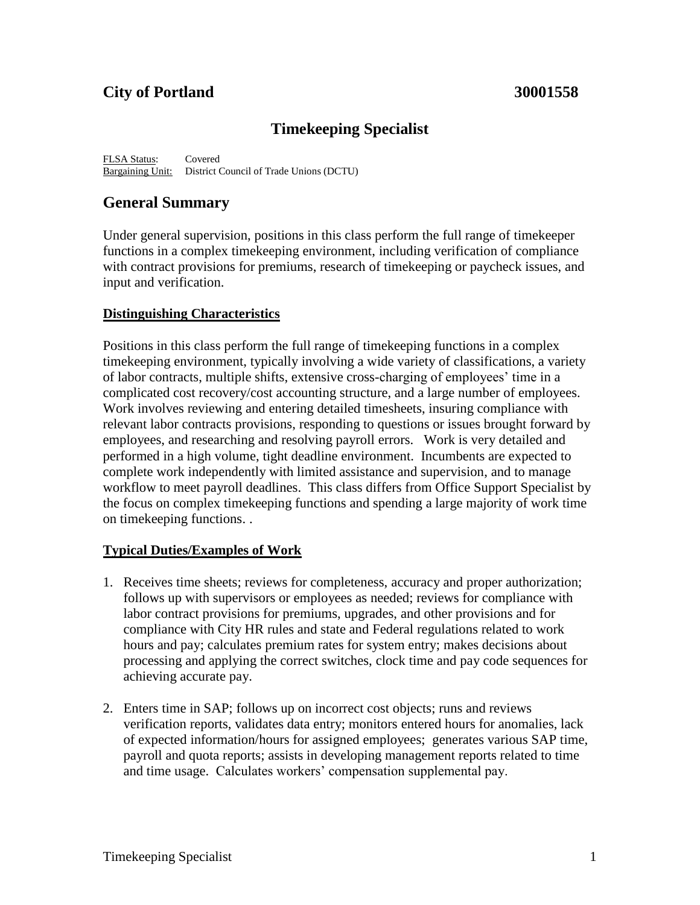# **City of Portland 30001558**

# **Timekeeping Specialist**

FLSA Status: Covered Bargaining Unit: District Council of Trade Unions (DCTU)

## **General Summary**

Under general supervision, positions in this class perform the full range of timekeeper functions in a complex timekeeping environment, including verification of compliance with contract provisions for premiums, research of timekeeping or paycheck issues, and input and verification.

### **Distinguishing Characteristics**

Positions in this class perform the full range of timekeeping functions in a complex timekeeping environment, typically involving a wide variety of classifications, a variety of labor contracts, multiple shifts, extensive cross-charging of employees' time in a complicated cost recovery/cost accounting structure, and a large number of employees. Work involves reviewing and entering detailed timesheets, insuring compliance with relevant labor contracts provisions, responding to questions or issues brought forward by employees, and researching and resolving payroll errors. Work is very detailed and performed in a high volume, tight deadline environment. Incumbents are expected to complete work independently with limited assistance and supervision, and to manage workflow to meet payroll deadlines. This class differs from Office Support Specialist by the focus on complex timekeeping functions and spending a large majority of work time on timekeeping functions. .

### **Typical Duties/Examples of Work**

- 1. Receives time sheets; reviews for completeness, accuracy and proper authorization; follows up with supervisors or employees as needed; reviews for compliance with labor contract provisions for premiums, upgrades, and other provisions and for compliance with City HR rules and state and Federal regulations related to work hours and pay; calculates premium rates for system entry; makes decisions about processing and applying the correct switches, clock time and pay code sequences for achieving accurate pay.
- 2. Enters time in SAP; follows up on incorrect cost objects; runs and reviews verification reports, validates data entry; monitors entered hours for anomalies, lack of expected information/hours for assigned employees; generates various SAP time, payroll and quota reports; assists in developing management reports related to time and time usage. Calculates workers' compensation supplemental pay.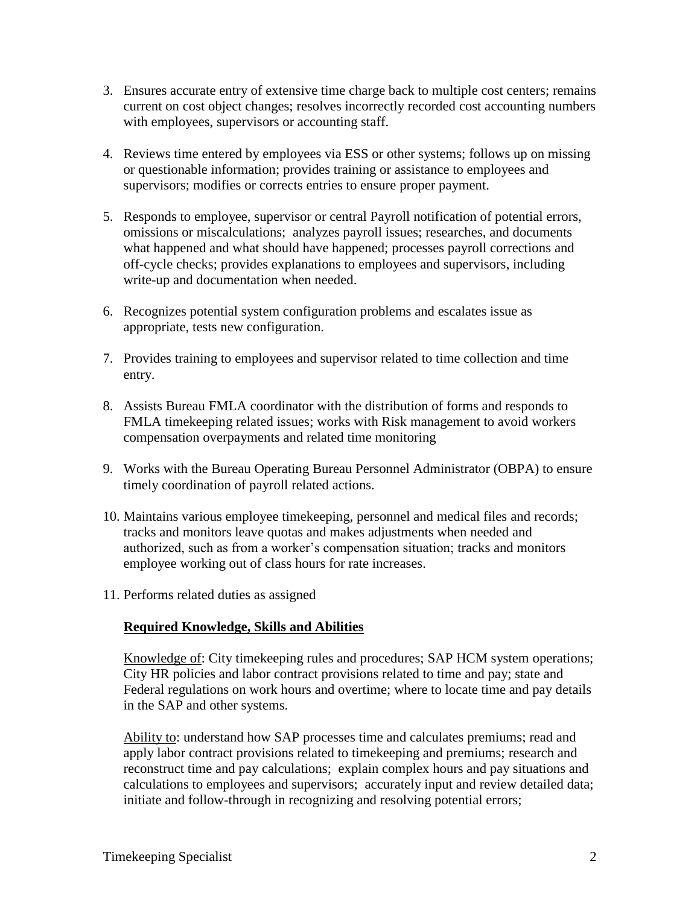- 3. Ensures accurate entry of extensive time charge back to multiple cost centers; remains current on cost object changes; resolves incorrectly recorded cost accounting numbers with employees, supervisors or accounting staff.
- 4. Reviews time entered by employees via ESS or other systems; follows up on missing or questionable information; provides training or assistance to employees and supervisors; modifies or corrects entries to ensure proper payment.
- 5. Responds to employee, supervisor or central Payroll notification of potential errors, omissions or miscalculations; analyzes payroll issues; researches, and documents what happened and what should have happened; processes payroll corrections and off-cycle checks; provides explanations to employees and supervisors, including write-up and documentation when needed.
- 6. Recognizes potential system configuration problems and escalates issue as appropriate, tests new configuration.
- 7. Provides training to employees and supervisor related to time collection and time entry.
- 8. Assists Bureau FMLA coordinator with the distribution of forms and responds to FMLA timekeeping related issues; works with Risk management to avoid workers compensation overpayments and related time monitoring
- 9. Works with the Bureau Operating Bureau Personnel Administrator (OBPA) to ensure timely coordination of payroll related actions.
- 10. Maintains various employee timekeeping, personnel and medical files and records; tracks and monitors leave quotas and makes adjustments when needed and authorized, such as from a worker's compensation situation; tracks and monitors employee working out of class hours for rate increases.
- 11. Performs related duties as assigned

### **Required Knowledge, Skills and Abilities**

Knowledge of: City timekeeping rules and procedures; SAP HCM system operations; City HR policies and labor contract provisions related to time and pay; state and Federal regulations on work hours and overtime; where to locate time and pay details in the SAP and other systems.

Ability to: understand how SAP processes time and calculates premiums; read and apply labor contract provisions related to timekeeping and premiums; research and reconstruct time and pay calculations; explain complex hours and pay situations and calculations to employees and supervisors; accurately input and review detailed data; initiate and follow-through in recognizing and resolving potential errors;